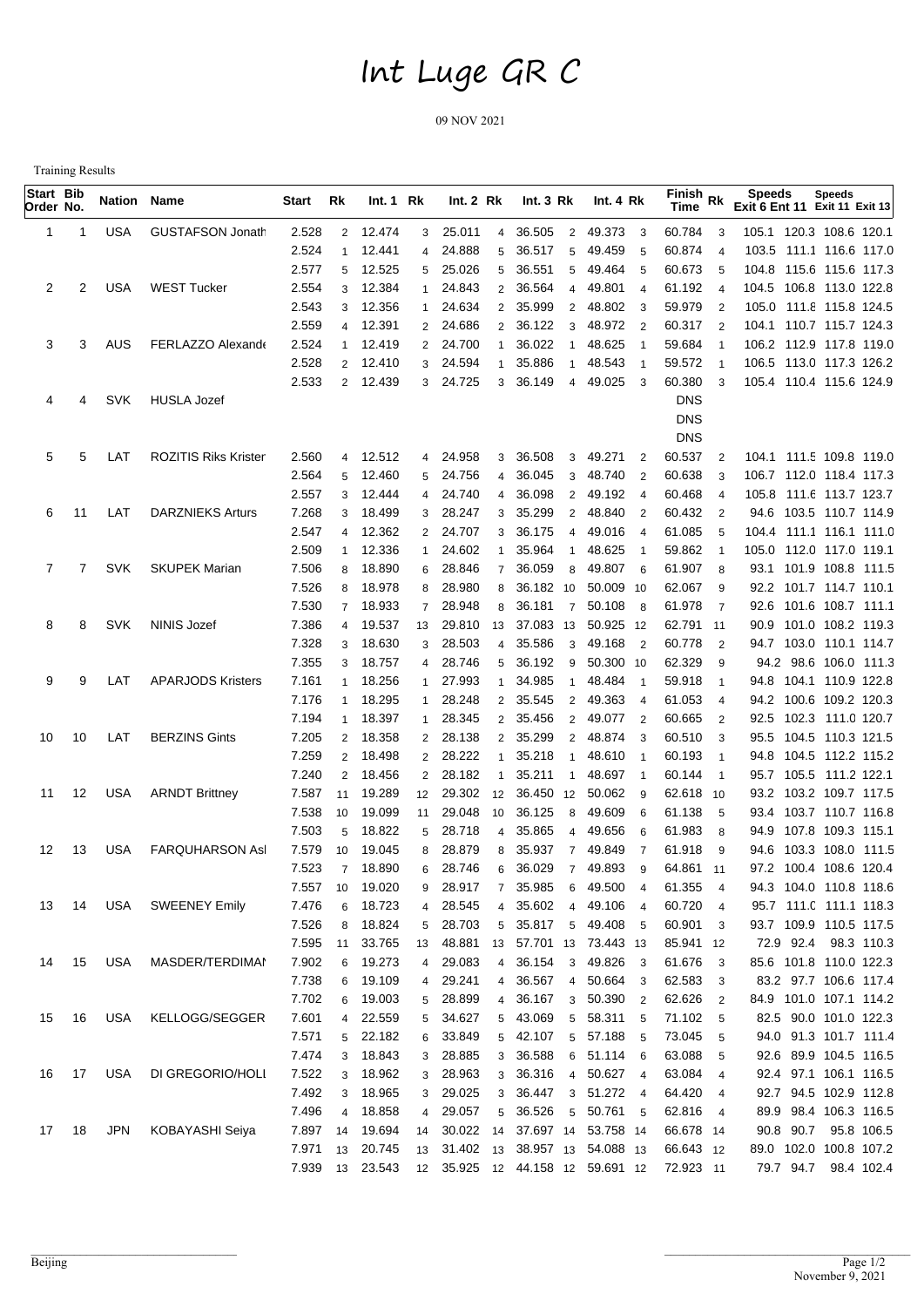## Int Luge GR C

09 NOV 2021

Training Results

| Start Bib<br>Order No. |              | <b>Nation Name</b> |                             | Start          | Rk             | Int.1 Rk         |                 | Int.2 Rk         |                | Int. $3 Rk$                             |                | Int. 4 Rk                          |                            | Finish Rk<br>Time        |                          | <b>Speeds</b><br>Exit 6 Ent 11 Exit 11 Exit 13 | <b>Speeds</b>     |  |
|------------------------|--------------|--------------------|-----------------------------|----------------|----------------|------------------|-----------------|------------------|----------------|-----------------------------------------|----------------|------------------------------------|----------------------------|--------------------------|--------------------------|------------------------------------------------|-------------------|--|
| 1                      | -1           | <b>USA</b>         | <b>GUSTAFSON Jonath</b>     | 2.528          | $\overline{2}$ | 12.474           | 3               | 25.011           | $\overline{4}$ | 36.505                                  | $\overline{2}$ | 49.373                             | $\overline{\mathbf{3}}$    | 60.784                   | 3                        | 105.1 120.3 108.6 120.1                        |                   |  |
|                        |              |                    |                             | 2.524          | $\mathbf{1}$   | 12.441           | $\overline{4}$  | 24.888           | 5              | 36.517<br>5                             |                | 49.459                             | -5                         | 60.874                   | $\boldsymbol{\varDelta}$ | 103.5 111.1 116.6 117.0                        |                   |  |
|                        |              |                    |                             | 2.577          | 5              | 12.525           | 5               | 25.026           | 5              | 36.551<br>5                             |                | 49.464                             | - 5                        | 60.673                   | 5                        | 104.8 115.6 115.6 117.3                        |                   |  |
| 2                      | 2            | <b>USA</b>         | <b>WEST Tucker</b>          | 2.554          | 3              | 12.384           | 1               | 24.843           | $\overline{2}$ | 36.564<br>4                             |                | 49.801                             | $\overline{4}$             | 61.192                   | $\overline{4}$           | 104.5 106.8 113.0 122.8                        |                   |  |
|                        |              |                    |                             | 2.543          | 3              | 12.356           | 1               | 24.634           | $\overline{2}$ | 35.999<br>$\overline{2}$                |                | 48.802                             | $\overline{\mathbf{3}}$    | 59.979                   | $\overline{2}$           | 105.0 111.8 115.8 124.5                        |                   |  |
|                        |              |                    |                             | 2.559          | $\overline{4}$ | 12.391           |                 | 2 24.686         | $\overline{2}$ | 36.122<br>3                             |                | 48.972                             | $\overline{2}$             | 60.317                   | $\overline{2}$           | 104.1 110.7 115.7 124.3                        |                   |  |
| 3                      | 3            | AUS                | FERLAZZO Alexando           | 2.524          | $\mathbf{1}$   | 12.419           |                 | 2 24.700         |                | 36.022<br>-1                            |                | 48.625                             |                            | 59.684                   | $\overline{1}$           | 106.2 112.9 117.8 119.0                        |                   |  |
|                        |              |                    |                             | 2.528          | 2              | 12.410           | 3               | 24.594           |                | 35.886<br>$\overline{1}$                |                | 48.543                             |                            | 59.572                   | $\overline{1}$           | 106.5 113.0 117.3 126.2                        |                   |  |
|                        |              |                    |                             | 2.533          |                | 2 12.439         | 3               | 24.725           | 3              | 36.149<br>4                             |                | 49.025                             | - 3                        | 60.380                   | 3                        | 105.4 110.4 115.6 124.9                        |                   |  |
| 4                      | 4            | <b>SVK</b>         | <b>HUSLA Jozef</b>          |                |                |                  |                 |                  |                |                                         |                |                                    |                            | <b>DNS</b><br><b>DNS</b> |                          |                                                |                   |  |
|                        |              |                    |                             |                |                |                  |                 |                  |                |                                         |                |                                    |                            | <b>DNS</b>               |                          |                                                |                   |  |
| 5                      | 5            | LAT                | <b>ROZITIS Riks Krister</b> | 2.560          | $\overline{4}$ | 12.512           |                 | 4 24.958         | 3              | 36.508<br>3                             |                | 49.271                             | $\overline{2}$             | 60.537                   | $\overline{2}$           | 104.1 111.5 109.8 119.0                        |                   |  |
|                        |              |                    |                             | 2.564          | 5              | 12.460           | 5               | 24.756           | $\overline{4}$ | 36.045<br>3                             |                | 48.740                             | $\overline{2}$             | 60.638                   | 3                        | 106.7 112.0 118.4 117.3                        |                   |  |
|                        |              |                    |                             | 2.557          | 3              | 12.444           | $\overline{4}$  | 24.740           | 4              | 36.098<br>$\overline{2}$                |                | 49.192<br>$\overline{4}$           |                            | 60.468                   | $\overline{4}$           | 105.8 111.6 113.7 123.7                        |                   |  |
| 6                      | 11           | LAT                | <b>DARZNIEKS Arturs</b>     | 7.268          | 3              | 18.499           | 3               | 28.247           | 3              | 35.299<br>$\overline{2}$                |                | 48.840                             | $\overline{2}$             | 60.432                   | $\overline{2}$           | 94.6 103.5 110.7 114.9                         |                   |  |
|                        |              |                    |                             | 2.547          | $\overline{4}$ | 12.362           |                 | 2 24.707         | 3              | 36.175<br>$\overline{4}$                |                | 49.016                             | $\overline{4}$             | 61.085                   | 5                        | 104.4 111.1 116.1 111.0                        |                   |  |
|                        |              |                    |                             | 2.509          |                | 12.336           | $\mathbf{1}$    | 24.602           | $\mathbf{1}$   | 35.964<br>$\overline{1}$                |                | 48.625                             |                            | 59.862                   |                          | 105.0 112.0 117.0 119.1                        |                   |  |
| 7                      | $\mathbf{7}$ | <b>SVK</b>         | <b>SKUPEK Marian</b>        | 7.506          | 8              | 18.890           | 6               | 28.846           | $\overline{7}$ | 36.059<br>8                             |                | 49.807<br>- 6                      |                            | 61.907                   | 8                        | 93.1 101.9 108.8 111.5                         |                   |  |
|                        |              |                    |                             | 7.526          | 8              | 18.978           | 8               | 28.980           | 8              | 36.182 10                               |                | 50.009 10                          |                            | 62.067                   | 9                        | 92.2 101.7 114.7 110.1                         |                   |  |
|                        |              |                    |                             | 7.530          | $\overline{7}$ | 18.933           | $\overline{7}$  | 28.948           | 8              | 36.181<br>$\overline{7}$                |                | 50.108 8                           |                            | 61.978                   | $\overline{7}$           | 92.6 101.6 108.7 111.1                         |                   |  |
| 8                      | 8            | <b>SVK</b>         | <b>NINIS Jozef</b>          | 7.386          | 4              | 19.537           | 13              | 29.810           | 13             | 37.083 13                               |                | 50.925 12                          |                            | 62.791 11                |                          | 90.9 101.0 108.2 119.3                         |                   |  |
|                        |              |                    |                             | 7.328          | 3              | 18.630           | 3               | 28.503           | $\overline{4}$ | 35.586<br>3                             |                | 49.168 2                           |                            | 60.778                   | $\overline{2}$           | 94.7 103.0 110.1 114.7                         |                   |  |
|                        |              |                    |                             | 7.355          | 3              | 18.757           | $\overline{4}$  | 28.746           | 5              | 36.192<br>9                             |                | 50.300 10                          |                            | 62.329                   | 9                        | 94.2 98.6 106.0 111.3                          |                   |  |
| 9                      | 9            | LAT                | <b>APARJODS Kristers</b>    | 7.161          | 1              | 18.256           | 1               | 27.993           | $\overline{1}$ | 34.985<br>$\mathbf{1}$                  |                | 48.484<br>$\overline{\phantom{0}}$ |                            | 59.918                   | $\overline{1}$           | 94.8 104.1 110.9 122.8                         |                   |  |
|                        |              |                    |                             | 7.176          | 1              | 18.295           | 1               | 28.248           | $\overline{2}$ | 35.545<br>$\overline{2}$                |                | 49.363                             | $\overline{4}$             | 61.053                   | $\overline{4}$           | 94.2 100.6 109.2 120.3                         |                   |  |
|                        |              |                    |                             | 7.194          | 1              | 18.397           | 1               | 28.345           | $\overline{2}$ | 35.456<br>$\overline{2}$                |                | 49.077                             | $\overline{\phantom{0}}^2$ | 60.665                   | $\overline{2}$           | 92.5 102.3 111.0 120.7                         |                   |  |
| 10                     | 10           | LAT                | <b>BERZINS Gints</b>        | 7.205          | $\overline{2}$ | 18.358           | $\mathbf{2}$    | 28.138           | $\overline{2}$ | 35.299<br>$\overline{2}$                |                | 48.874                             | $_{3}$                     | 60.510                   | 3                        | 95.5 104.5 110.3 121.5                         |                   |  |
|                        |              |                    |                             | 7.259          | $\overline{2}$ | 18.498           | $\mathbf{2}$    | 28.222           | $\mathbf 1$    | 35.218<br>$\mathbf{1}$                  |                | 48.610                             | $\overline{1}$             | 60.193                   | $\overline{1}$           | 94.8 104.5 112.2 115.2                         |                   |  |
|                        |              |                    |                             | 7.240          | $\overline{2}$ | 18.456           | $\overline{2}$  | 28.182           | $\overline{1}$ | 35.211<br>$\overline{1}$                |                | 48.697                             | $\overline{\phantom{0}}$   | 60.144                   | $\overline{1}$           | 95.7 105.5 111.2 122.1                         |                   |  |
| 11                     | 12           | <b>USA</b>         | <b>ARNDT Brittney</b>       | 7.587          | 11             | 19.289           | 12              | 29.302           | 12             | 36.450 12                               |                | 50.062<br>- 9                      |                            | 62.618 10                |                          | 93.2 103.2 109.7 117.5                         |                   |  |
|                        |              |                    |                             | 7.538          | 10             | 19.099           | 11              | 29.048           | 10             | 36.125<br>8                             |                | 49.609                             | - 6                        | 61.138                   | 5                        | 93.4 103.7 110.7 116.8                         |                   |  |
|                        |              | <b>USA</b>         | <b>FARQUHARSON Asl</b>      | 7.503          | 5              | 18.822           | 5               | 28.718           | $\overline{4}$ | 35.865<br>4                             |                | 49.656                             | - 6<br>- 7                 | 61.983                   | 8                        | 94.9 107.8 109.3 115.1                         |                   |  |
| 12                     | 13           |                    |                             | 7.579<br>7.523 | 10<br>7        | 19.045<br>18.890 | 8<br>6          | 28.879<br>28.746 | 8<br>6         | 35.937<br>7<br>36.029<br>$\overline{7}$ |                | 49.849<br>49.893                   | - 9                        | 61.918<br>64.861 11      | 9                        | 94.6<br>97.2 100.4 108.6 120.4                 | 103.3 108.0 111.5 |  |
|                        |              |                    |                             | 7.557          | 10             | 19.020           | 9               | 28.917           | $7^{\circ}$    | 35.985                                  |                | 6 49.500                           | 4                          | 61.355                   | $\overline{4}$           | 94.3 104.0 110.8 118.6                         |                   |  |
|                        | 13 14        | USA                | <b>SWEENEY Emily</b>        | 7.476          | 6              | 18.723           | $\overline{4}$  | 28.545           | $\overline{4}$ | 35.602                                  |                | 4 49.106 4                         |                            | 60.720                   | $\overline{4}$           | 95.7 111.0 111.1 118.3                         |                   |  |
|                        |              |                    |                             | 7.526          | 8              | 18.824           |                 | 5 28.703         |                | 5 35.817                                |                | 5 49.408 5                         |                            | 60.901 3                 |                          | 93.7 109.9 110.5 117.5                         |                   |  |
|                        |              |                    |                             | 7.595          | 11             | 33.765           | 13              | 48.881           |                | 13 57.701 13 73.443 13                  |                |                                    |                            | 85.941 12                |                          | 72.9 92.4 98.3 110.3                           |                   |  |
| 14                     | 15           | USA                | MASDER/TERDIMAI             | 7.902          | 6              | 19.273           | $4\overline{ }$ | 29.083           |                | 4 36.154                                |                | 3 49.826 3                         |                            | 61.676                   | $\overline{\mathbf{3}}$  | 85.6 101.8 110.0 122.3                         |                   |  |
|                        |              |                    |                             | 7.738          | 6              | 19.109           | 4               | 29.241           |                | 4 36.567                                |                | 4 50.664 3                         |                            | 62.583 3                 |                          | 83.2 97.7 106.6 117.4                          |                   |  |
|                        |              |                    |                             | 7.702          | 6              | 19.003           | 5               | 28.899           |                | 4 36.167                                |                | 3 50.390 2                         |                            | 62.626                   | $\overline{2}$           | 84.9 101.0 107.1 114.2                         |                   |  |
| 15                     | 16           | USA                | KELLOGG/SEGGER              | 7.601          | $\overline{4}$ | 22.559           | 5               | 34.627           |                | 5 43.069                                |                | 5 58.311 5                         |                            | 71.102 5                 |                          | 82.5 90.0 101.0 122.3                          |                   |  |
|                        |              |                    |                             | 7.571          |                | 5 22.182         | 6               | 33.849           |                | 5 42.107                                |                | 5 57.188 5                         |                            | 73.045 5                 |                          | 94.0 91.3 101.7 111.4                          |                   |  |
|                        |              |                    |                             | 7.474          | 3              | 18.843           | 3               | 28.885           |                | 3 36.588                                |                | 6 51.114 6                         |                            | 63.088                   | 5                        | 92.6 89.9 104.5 116.5                          |                   |  |
| 16                     | 17           | <b>USA</b>         | DI GREGORIO/HOLI            | 7.522          | 3              | 18.962           | 3               | 28.963           |                | 3 36.316                                |                | 4 50.627 4                         |                            | 63.084 4                 |                          | 92.4 97.1 106.1 116.5                          |                   |  |
|                        |              |                    |                             | 7.492          | 3              | 18.965           | $\mathbf{3}$    | 29.025           |                | 3 36.447                                |                | 3 51.272 4                         |                            | 64.420 4                 |                          | 92.7 94.5 102.9 112.8                          |                   |  |
|                        |              |                    |                             | 7.496          | $\overline{4}$ | 18.858           | 4               | 29.057           |                | 5 36.526                                |                | 5 50.761 5                         |                            | 62.816 4                 |                          | 89.9 98.4 106.3 116.5                          |                   |  |
| 17                     | 18           | JPN                | KOBAYASHI Seiya             | 7.897          | 14             | 19.694           | 14              |                  |                | 30.022 14 37.697 14 53.758 14           |                |                                    |                            | 66.678 14                |                          | 90.8 90.7                                      | 95.8 106.5        |  |
|                        |              |                    |                             | 7.971          | 13             | 20.745           |                 |                  |                | 13 31.402 13 38.957 13 54.088 13        |                |                                    |                            | 66.643 12                |                          | 89.0 102.0 100.8 107.2                         |                   |  |
|                        |              |                    |                             | 7.939          |                | 13 23.543        |                 |                  |                |                                         |                |                                    |                            | 72.923 11                |                          | 79.7 94.7 98.4 102.4                           |                   |  |